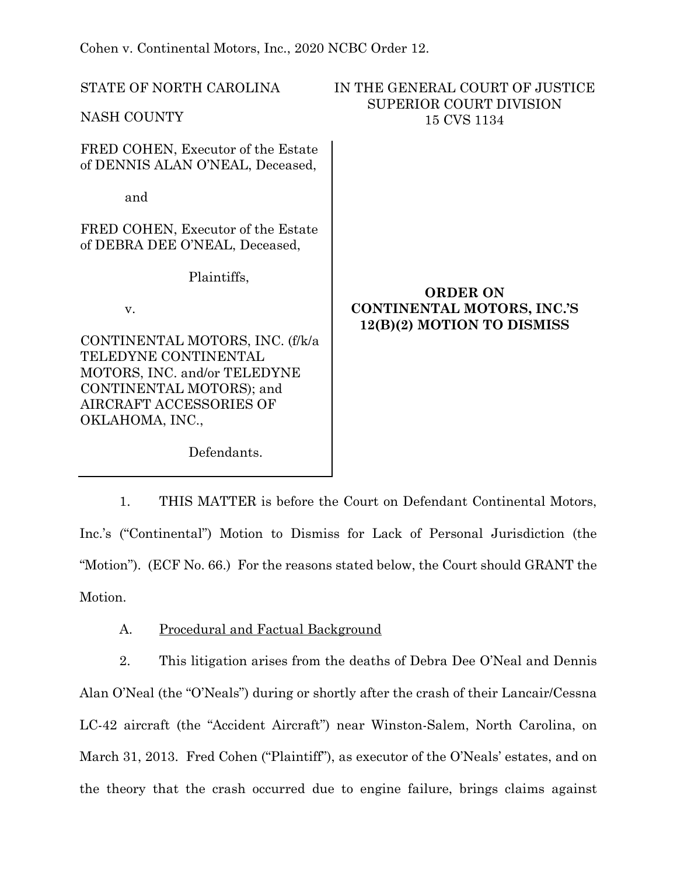Cohen v. Continental Motors, Inc., 2020 NCBC Order 12.

| STATE OF NORTH CAROLINA                                                | IN THE GENERAL COURT OF JUSTICE<br><b>SUPERIOR COURT DIVISION</b>           |
|------------------------------------------------------------------------|-----------------------------------------------------------------------------|
| NASH COUNTY                                                            | 15 CVS 1134                                                                 |
| FRED COHEN, Executor of the Estate<br>of DENNIS ALAN O'NEAL, Deceased, |                                                                             |
| and                                                                    |                                                                             |
| FRED COHEN, Executor of the Estate<br>of DEBRA DEE O'NEAL, Deceased,   |                                                                             |
| Plaintiffs,                                                            |                                                                             |
| V.                                                                     | <b>ORDER ON</b><br>CONTINENTAL MOTORS, INC.'S<br>12(B)(2) MOTION TO DISMISS |
| CONTINENTAL MOTORS, INC. (f/k/a<br>TELEDYNE CONTINENTAL                |                                                                             |
| MOTORS, INC. and/or TELEDYNE                                           |                                                                             |
| CONTINENTAL MOTORS); and                                               |                                                                             |
| AIRCRAFT ACCESSORIES OF                                                |                                                                             |
| OKLAHOMA, INC.,                                                        |                                                                             |
|                                                                        |                                                                             |

Defendants.

1. THIS MATTER is before the Court on Defendant Continental Motors, Inc.'s ("Continental") Motion to Dismiss for Lack of Personal Jurisdiction (the "Motion"). (ECF No. 66.) For the reasons stated below, the Court should GRANT the Motion.

A. Procedural and Factual Background

2. This litigation arises from the deaths of Debra Dee O'Neal and Dennis Alan O'Neal (the "O'Neals") during or shortly after the crash of their Lancair/Cessna LC-42 aircraft (the "Accident Aircraft") near Winston-Salem, North Carolina, on March 31, 2013. Fred Cohen ("Plaintiff"), as executor of the O'Neals' estates, and on the theory that the crash occurred due to engine failure, brings claims against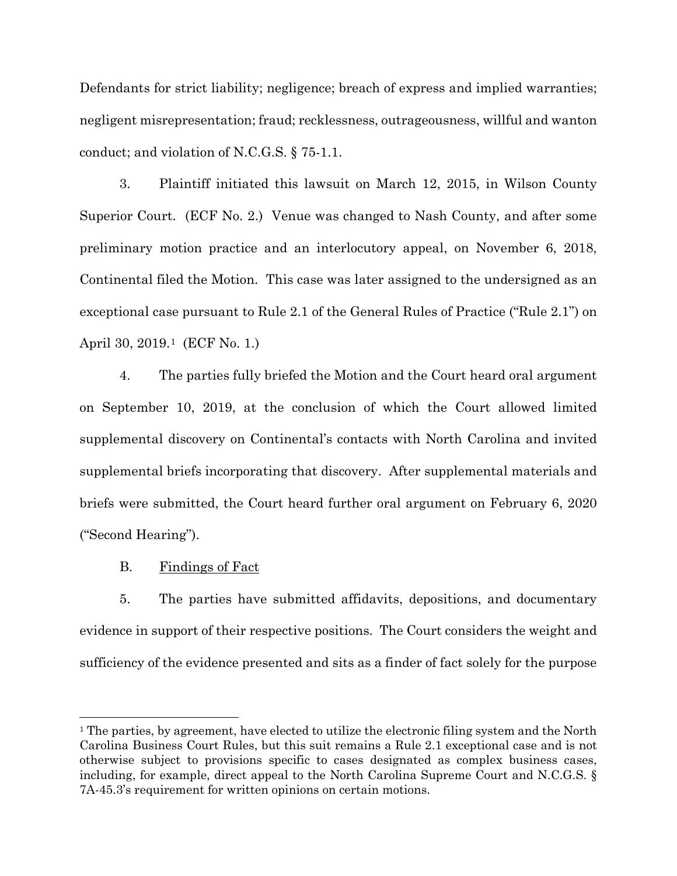Defendants for strict liability; negligence; breach of express and implied warranties; negligent misrepresentation; fraud; recklessness, outrageousness, willful and wanton conduct; and violation of N.C.G.S. § 75-1.1.

3. Plaintiff initiated this lawsuit on March 12, 2015, in Wilson County Superior Court. (ECF No. 2.) Venue was changed to Nash County, and after some preliminary motion practice and an interlocutory appeal, on November 6, 2018, Continental filed the Motion. This case was later assigned to the undersigned as an exceptional case pursuant to Rule 2.1 of the General Rules of Practice ("Rule 2.1") on April 30, 2019.[1](#page-1-0) (ECF No. 1.)

4. The parties fully briefed the Motion and the Court heard oral argument on September 10, 2019, at the conclusion of which the Court allowed limited supplemental discovery on Continental's contacts with North Carolina and invited supplemental briefs incorporating that discovery. After supplemental materials and briefs were submitted, the Court heard further oral argument on February 6, 2020 ("Second Hearing").

B. Findings of Fact

 $\overline{a}$ 

5. The parties have submitted affidavits, depositions, and documentary evidence in support of their respective positions. The Court considers the weight and sufficiency of the evidence presented and sits as a finder of fact solely for the purpose

<span id="page-1-0"></span><sup>&</sup>lt;sup>1</sup> The parties, by agreement, have elected to utilize the electronic filing system and the North Carolina Business Court Rules, but this suit remains a Rule 2.1 exceptional case and is not otherwise subject to provisions specific to cases designated as complex business cases, including, for example, direct appeal to the North Carolina Supreme Court and N.C.G.S. § 7A-45.3's requirement for written opinions on certain motions.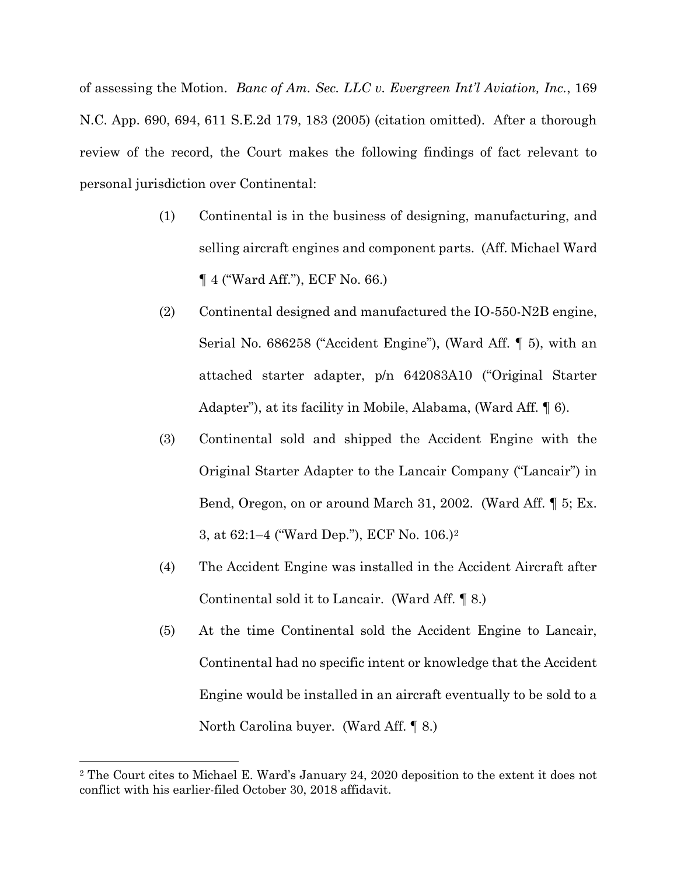of assessing the Motion. *Banc of Am. Sec. LLC v. Evergreen Int'l Aviation, Inc.*, 169 N.C. App. 690, 694, 611 S.E.2d 179, 183 (2005) (citation omitted). After a thorough review of the record, the Court makes the following findings of fact relevant to personal jurisdiction over Continental:

- (1) Continental is in the business of designing, manufacturing, and selling aircraft engines and component parts. (Aff. Michael Ward ¶ 4 ("Ward Aff."), ECF No. 66.)
- (2) Continental designed and manufactured the IO-550-N2B engine, Serial No. 686258 ("Accident Engine"), (Ward Aff. ¶ 5), with an attached starter adapter, p/n 642083A10 ("Original Starter Adapter"), at its facility in Mobile, Alabama, (Ward Aff. ¶ 6).
- (3) Continental sold and shipped the Accident Engine with the Original Starter Adapter to the Lancair Company ("Lancair") in Bend, Oregon, on or around March 31, 2002. (Ward Aff. ¶ 5; Ex. 3, at 62:1–4 ("Ward Dep."), ECF No. 106.)[2](#page-2-0)
- (4) The Accident Engine was installed in the Accident Aircraft after Continental sold it to Lancair. (Ward Aff. ¶ 8.)
- (5) At the time Continental sold the Accident Engine to Lancair, Continental had no specific intent or knowledge that the Accident Engine would be installed in an aircraft eventually to be sold to a North Carolina buyer. (Ward Aff. ¶ 8.)

<span id="page-2-0"></span><sup>2</sup> The Court cites to Michael E. Ward's January 24, 2020 deposition to the extent it does not conflict with his earlier-filed October 30, 2018 affidavit.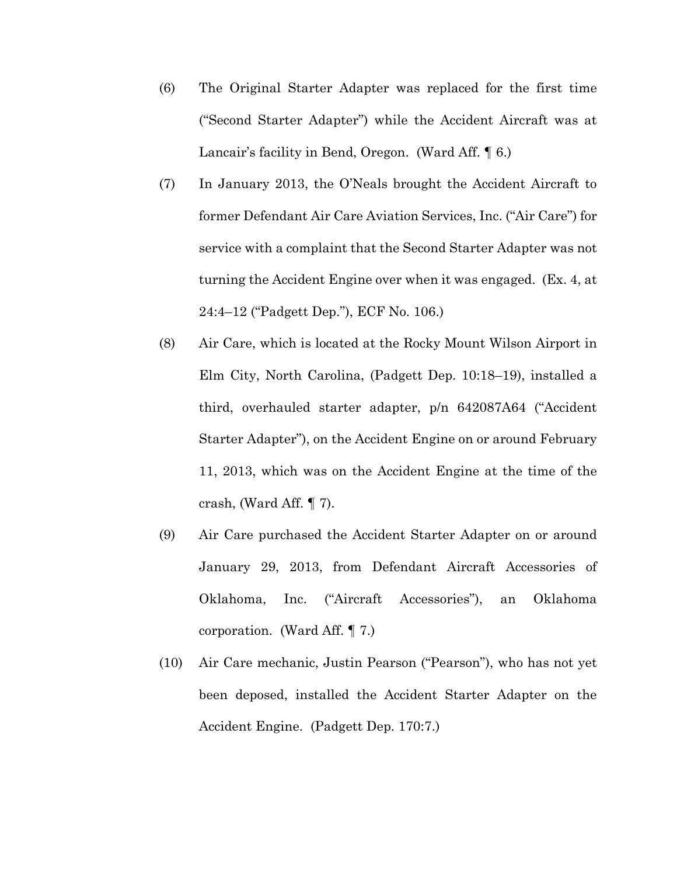- (6) The Original Starter Adapter was replaced for the first time ("Second Starter Adapter") while the Accident Aircraft was at Lancair's facility in Bend, Oregon. (Ward Aff. 16.)
- (7) In January 2013, the O'Neals brought the Accident Aircraft to former Defendant Air Care Aviation Services, Inc. ("Air Care") for service with a complaint that the Second Starter Adapter was not turning the Accident Engine over when it was engaged. (Ex. 4, at 24:4–12 ("Padgett Dep."), ECF No. 106.)
- (8) Air Care, which is located at the Rocky Mount Wilson Airport in Elm City, North Carolina, (Padgett Dep. 10:18–19), installed a third, overhauled starter adapter, p/n 642087A64 ("Accident Starter Adapter"), on the Accident Engine on or around February 11, 2013, which was on the Accident Engine at the time of the crash, (Ward Aff. ¶ 7).
- (9) Air Care purchased the Accident Starter Adapter on or around January 29, 2013, from Defendant Aircraft Accessories of Oklahoma, Inc. ("Aircraft Accessories"), an Oklahoma corporation. (Ward Aff. ¶ 7.)
- (10) Air Care mechanic, Justin Pearson ("Pearson"), who has not yet been deposed, installed the Accident Starter Adapter on the Accident Engine. (Padgett Dep. 170:7.)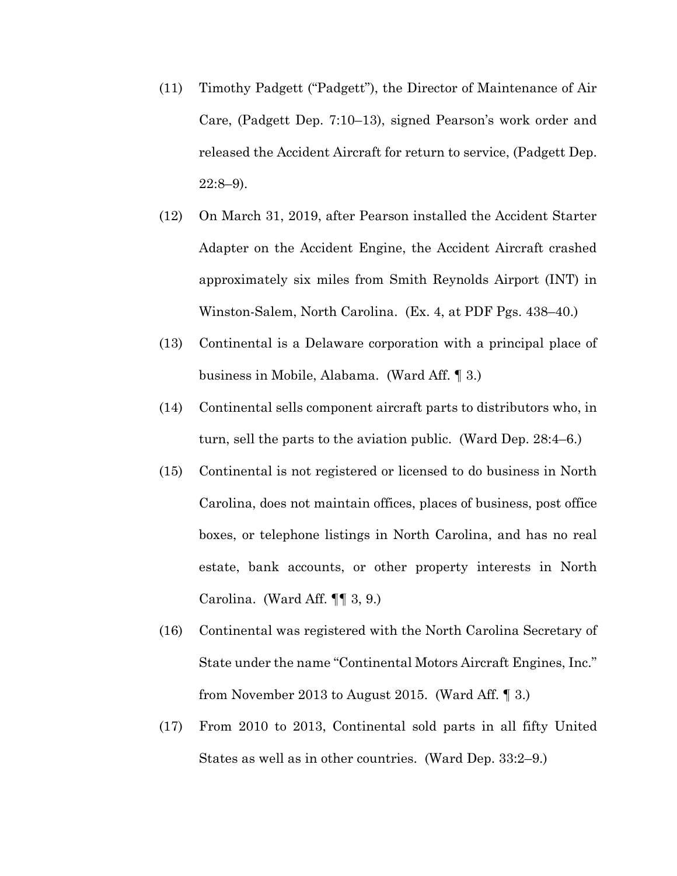- (11) Timothy Padgett ("Padgett"), the Director of Maintenance of Air Care, (Padgett Dep. 7:10–13), signed Pearson's work order and released the Accident Aircraft for return to service, (Padgett Dep.  $22:8-9$ ).
- (12) On March 31, 2019, after Pearson installed the Accident Starter Adapter on the Accident Engine, the Accident Aircraft crashed approximately six miles from Smith Reynolds Airport (INT) in Winston-Salem, North Carolina. (Ex. 4, at PDF Pgs. 438–40.)
- (13) Continental is a Delaware corporation with a principal place of business in Mobile, Alabama. (Ward Aff. ¶ 3.)
- (14) Continental sells component aircraft parts to distributors who, in turn, sell the parts to the aviation public. (Ward Dep. 28:4–6.)
- (15) Continental is not registered or licensed to do business in North Carolina, does not maintain offices, places of business, post office boxes, or telephone listings in North Carolina, and has no real estate, bank accounts, or other property interests in North Carolina. (Ward Aff. ¶¶ 3, 9.)
- (16) Continental was registered with the North Carolina Secretary of State under the name "Continental Motors Aircraft Engines, Inc." from November 2013 to August 2015. (Ward Aff. ¶ 3.)
- (17) From 2010 to 2013, Continental sold parts in all fifty United States as well as in other countries. (Ward Dep. 33:2–9.)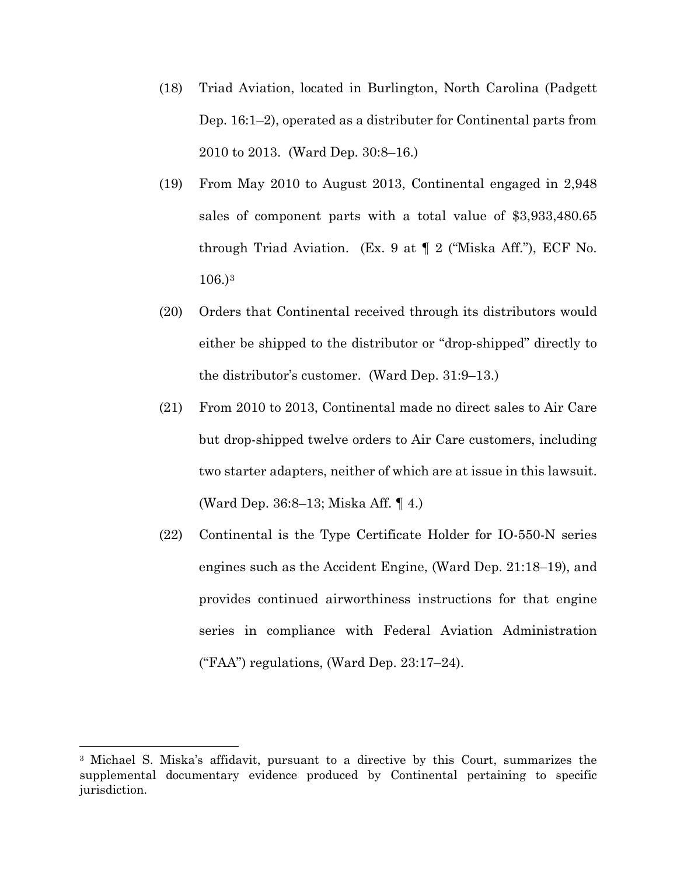- (18) Triad Aviation, located in Burlington, North Carolina (Padgett Dep. 16:1–2), operated as a distributer for Continental parts from 2010 to 2013. (Ward Dep. 30:8–16.)
- (19) From May 2010 to August 2013, Continental engaged in 2,948 sales of component parts with a total value of \$3,933,480.65 through Triad Aviation. (Ex. 9 at ¶ 2 ("Miska Aff."), ECF No. 106.)[3](#page-5-0)
- (20) Orders that Continental received through its distributors would either be shipped to the distributor or "drop-shipped" directly to the distributor's customer. (Ward Dep. 31:9–13.)
- (21) From 2010 to 2013, Continental made no direct sales to Air Care but drop-shipped twelve orders to Air Care customers, including two starter adapters, neither of which are at issue in this lawsuit. (Ward Dep. 36:8–13; Miska Aff. ¶ 4.)
- (22) Continental is the Type Certificate Holder for IO-550-N series engines such as the Accident Engine, (Ward Dep. 21:18–19), and provides continued airworthiness instructions for that engine series in compliance with Federal Aviation Administration ("FAA") regulations, (Ward Dep. 23:17–24).

<span id="page-5-0"></span><sup>3</sup> Michael S. Miska's affidavit, pursuant to a directive by this Court, summarizes the supplemental documentary evidence produced by Continental pertaining to specific jurisdiction.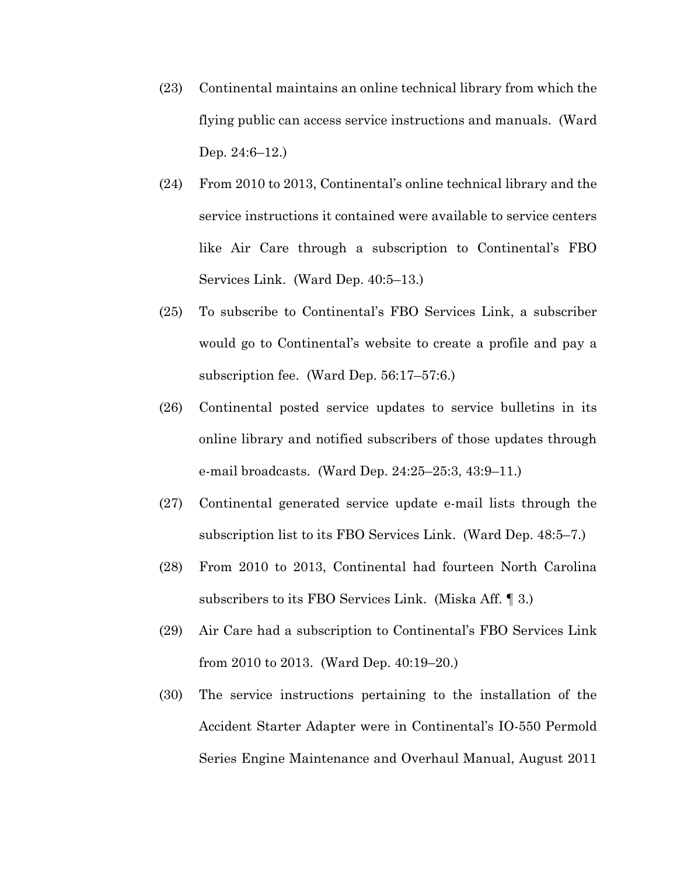- (23) Continental maintains an online technical library from which the flying public can access service instructions and manuals. (Ward Dep. 24:6–12.)
- (24) From 2010 to 2013, Continental's online technical library and the service instructions it contained were available to service centers like Air Care through a subscription to Continental's FBO Services Link. (Ward Dep. 40:5–13.)
- (25) To subscribe to Continental's FBO Services Link, a subscriber would go to Continental's website to create a profile and pay a subscription fee. (Ward Dep. 56:17–57:6.)
- (26) Continental posted service updates to service bulletins in its online library and notified subscribers of those updates through e-mail broadcasts. (Ward Dep. 24:25–25:3, 43:9–11.)
- (27) Continental generated service update e-mail lists through the subscription list to its FBO Services Link. (Ward Dep. 48:5–7.)
- (28) From 2010 to 2013, Continental had fourteen North Carolina subscribers to its FBO Services Link. (Miska Aff. ¶ 3.)
- (29) Air Care had a subscription to Continental's FBO Services Link from 2010 to 2013. (Ward Dep. 40:19–20.)
- (30) The service instructions pertaining to the installation of the Accident Starter Adapter were in Continental's IO-550 Permold Series Engine Maintenance and Overhaul Manual, August 2011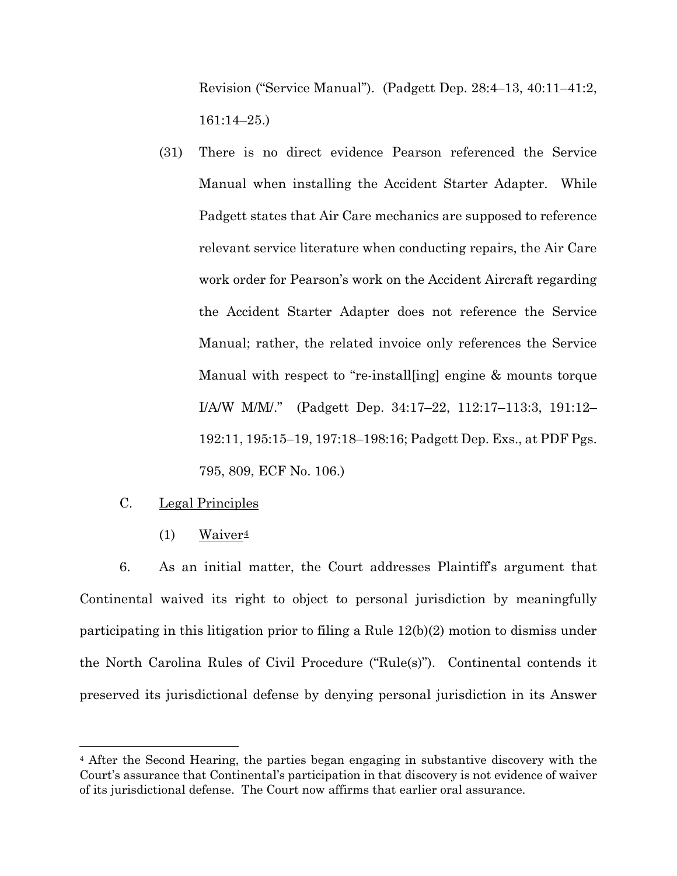Revision ("Service Manual"). (Padgett Dep. 28:4–13, 40:11–41:2, 161:14–25.)

(31) There is no direct evidence Pearson referenced the Service Manual when installing the Accident Starter Adapter. While Padgett states that Air Care mechanics are supposed to reference relevant service literature when conducting repairs, the Air Care work order for Pearson's work on the Accident Aircraft regarding the Accident Starter Adapter does not reference the Service Manual; rather, the related invoice only references the Service Manual with respect to "re-install[ing] engine & mounts torque I/A/W M/M/." (Padgett Dep. 34:17–22, 112:17–113:3, 191:12– 192:11, 195:15–19, 197:18–198:16; Padgett Dep. Exs., at PDF Pgs. 795, 809, ECF No. 106.)

## C. Legal Principles

 $\overline{a}$ 

(1) Waiver<sup> $4$ </sup>

6. As an initial matter, the Court addresses Plaintiff's argument that Continental waived its right to object to personal jurisdiction by meaningfully participating in this litigation prior to filing a Rule 12(b)(2) motion to dismiss under the North Carolina Rules of Civil Procedure ("Rule(s)"). Continental contends it preserved its jurisdictional defense by denying personal jurisdiction in its Answer

<span id="page-7-0"></span><sup>4</sup> After the Second Hearing, the parties began engaging in substantive discovery with the Court's assurance that Continental's participation in that discovery is not evidence of waiver of its jurisdictional defense. The Court now affirms that earlier oral assurance.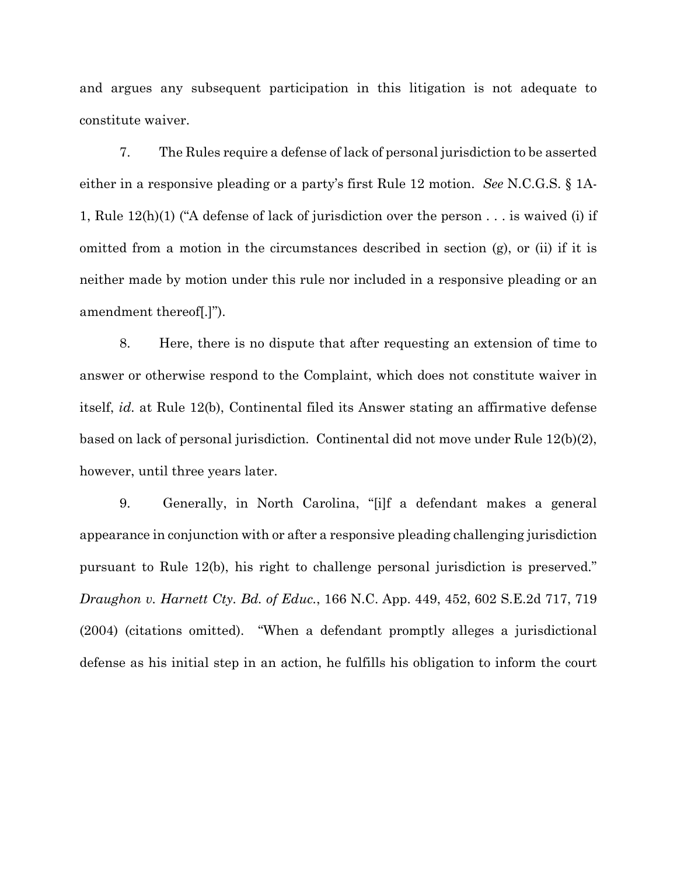and argues any subsequent participation in this litigation is not adequate to constitute waiver.

7. The Rules require a defense of lack of personal jurisdiction to be asserted either in a responsive pleading or a party's first Rule 12 motion. *See* N.C.G.S. § 1A-1, Rule 12(h)(1) ("A defense of lack of jurisdiction over the person . . . is waived (i) if omitted from a motion in the circumstances described in section (g), or (ii) if it is neither made by motion under this rule nor included in a responsive pleading or an amendment thereof[.]").

8. Here, there is no dispute that after requesting an extension of time to answer or otherwise respond to the Complaint, which does not constitute waiver in itself, *id.* at Rule 12(b), Continental filed its Answer stating an affirmative defense based on lack of personal jurisdiction. Continental did not move under Rule 12(b)(2), however, until three years later.

9. Generally, in North Carolina, "[i]f a defendant makes a general appearance in conjunction with or after a responsive pleading challenging jurisdiction pursuant to Rule 12(b), his right to challenge personal jurisdiction is preserved." *Draughon v. Harnett Cty. Bd. of Educ.*, 166 N.C. App. 449, 452, 602 S.E.2d 717, 719 (2004) (citations omitted). "When a defendant promptly alleges a jurisdictional defense as his initial step in an action, he fulfills his obligation to inform the court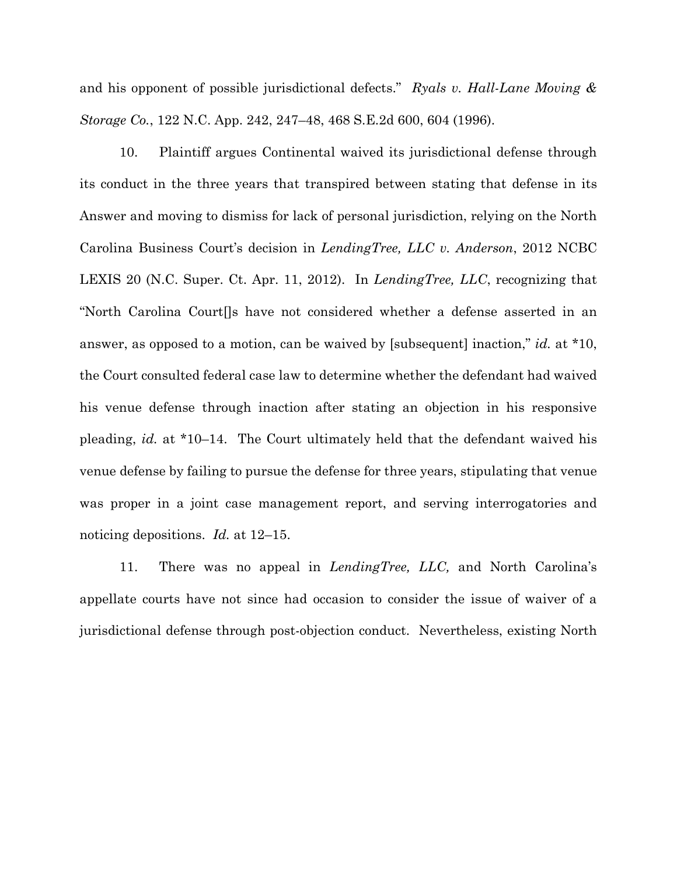and his opponent of possible jurisdictional defects." *Ryals v. Hall-Lane Moving & Storage Co.*, 122 N.C. App. 242, 247–48, 468 S.E.2d 600, 604 (1996).

10. Plaintiff argues Continental waived its jurisdictional defense through its conduct in the three years that transpired between stating that defense in its Answer and moving to dismiss for lack of personal jurisdiction, relying on the North Carolina Business Court's decision in *LendingTree, LLC v. Anderson*, 2012 NCBC LEXIS 20 (N.C. Super. Ct. Apr. 11, 2012). In *LendingTree, LLC*, recognizing that "North Carolina Court[]s have not considered whether a defense asserted in an answer, as opposed to a motion, can be waived by [subsequent] inaction," *id.* at \*10, the Court consulted federal case law to determine whether the defendant had waived his venue defense through inaction after stating an objection in his responsive pleading, *id.* at \*10–14. The Court ultimately held that the defendant waived his venue defense by failing to pursue the defense for three years, stipulating that venue was proper in a joint case management report, and serving interrogatories and noticing depositions. *Id.* at 12–15.

11. There was no appeal in *LendingTree, LLC,* and North Carolina's appellate courts have not since had occasion to consider the issue of waiver of a jurisdictional defense through post-objection conduct. Nevertheless, existing North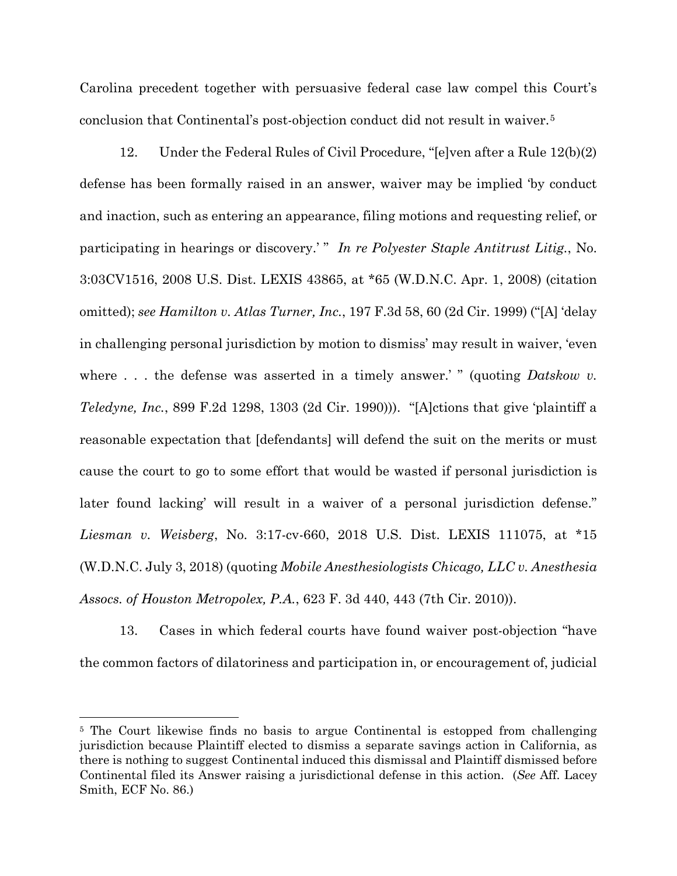Carolina precedent together with persuasive federal case law compel this Court's conclusion that Continental's post-objection conduct did not result in waiver.[5](#page-10-0)

12. Under the Federal Rules of Civil Procedure, "[e]ven after a Rule 12(b)(2) defense has been formally raised in an answer, waiver may be implied 'by conduct and inaction, such as entering an appearance, filing motions and requesting relief, or participating in hearings or discovery.' " *In re Polyester Staple Antitrust Litig.*, No. 3:03CV1516, 2008 U.S. Dist. LEXIS 43865, at \*65 (W.D.N.C. Apr. 1, 2008) (citation omitted); *see Hamilton v. Atlas Turner, Inc.*, 197 F.3d 58, 60 (2d Cir. 1999) ("[A] 'delay in challenging personal jurisdiction by motion to dismiss' may result in waiver, 'even where . . . the defense was asserted in a timely answer.' " (quoting *Datskow v*. *Teledyne, Inc.*, 899 F.2d 1298, 1303 (2d Cir. 1990))). "[A]ctions that give 'plaintiff a reasonable expectation that [defendants] will defend the suit on the merits or must cause the court to go to some effort that would be wasted if personal jurisdiction is later found lacking' will result in a waiver of a personal jurisdiction defense." *Liesman v. Weisberg*, No. 3:17-cv-660, 2018 U.S. Dist. LEXIS 111075, at \*15 (W.D.N.C. July 3, 2018) (quoting *Mobile Anesthesiologists Chicago, LLC v. Anesthesia Assocs. of Houston Metropolex, P.A.*, 623 F. 3d 440, 443 (7th Cir. 2010)).

13. Cases in which federal courts have found waiver post-objection "have the common factors of dilatoriness and participation in, or encouragement of, judicial

<span id="page-10-0"></span><sup>&</sup>lt;sup>5</sup> The Court likewise finds no basis to argue Continental is estopped from challenging jurisdiction because Plaintiff elected to dismiss a separate savings action in California, as there is nothing to suggest Continental induced this dismissal and Plaintiff dismissed before Continental filed its Answer raising a jurisdictional defense in this action. (*See* Aff. Lacey Smith, ECF No. 86.)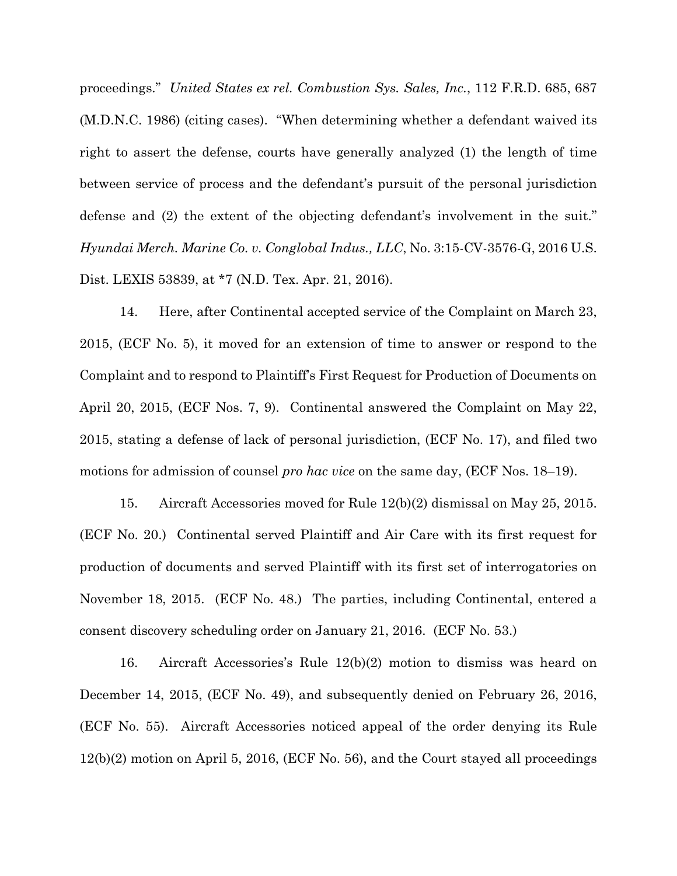proceedings." *United States ex rel. Combustion Sys. Sales, Inc.*, 112 F.R.D. 685, 687 (M.D.N.C. 1986) (citing cases). "When determining whether a defendant waived its right to assert the defense, courts have generally analyzed (1) the length of time between service of process and the defendant's pursuit of the personal jurisdiction defense and (2) the extent of the objecting defendant's involvement in the suit." *Hyundai Merch. Marine Co. v. Conglobal Indus., LLC*, No. 3:15-CV-3576-G, 2016 U.S. Dist. LEXIS 53839, at \*7 (N.D. Tex. Apr. 21, 2016).

14. Here, after Continental accepted service of the Complaint on March 23, 2015, (ECF No. 5), it moved for an extension of time to answer or respond to the Complaint and to respond to Plaintiff's First Request for Production of Documents on April 20, 2015, (ECF Nos. 7, 9). Continental answered the Complaint on May 22, 2015, stating a defense of lack of personal jurisdiction, (ECF No. 17), and filed two motions for admission of counsel *pro hac vice* on the same day, (ECF Nos. 18–19).

15. Aircraft Accessories moved for Rule 12(b)(2) dismissal on May 25, 2015. (ECF No. 20.) Continental served Plaintiff and Air Care with its first request for production of documents and served Plaintiff with its first set of interrogatories on November 18, 2015. (ECF No. 48.) The parties, including Continental, entered a consent discovery scheduling order on January 21, 2016. (ECF No. 53.)

16. Aircraft Accessories's Rule 12(b)(2) motion to dismiss was heard on December 14, 2015, (ECF No. 49), and subsequently denied on February 26, 2016, (ECF No. 55). Aircraft Accessories noticed appeal of the order denying its Rule 12(b)(2) motion on April 5, 2016, (ECF No. 56), and the Court stayed all proceedings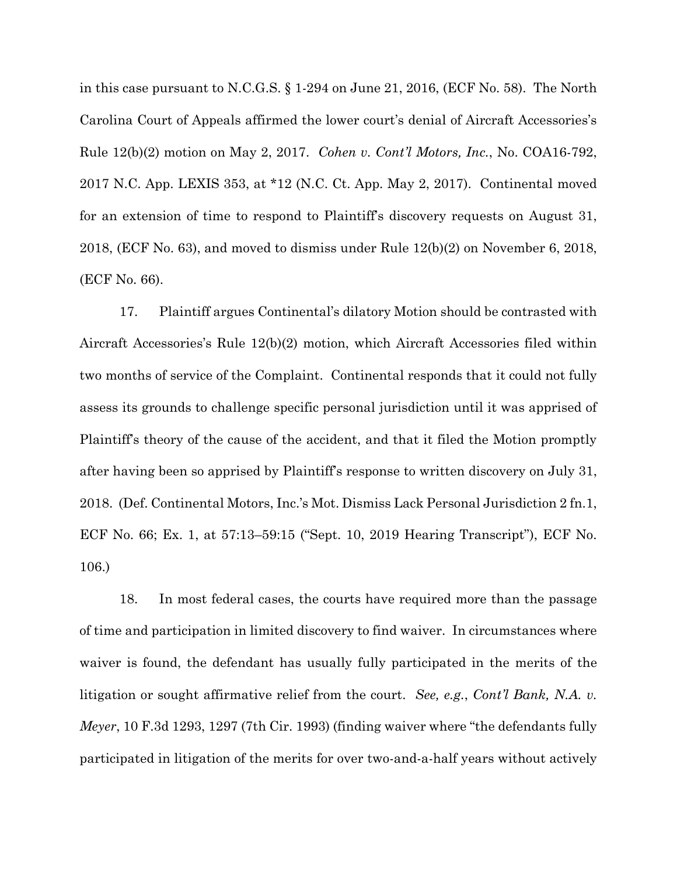in this case pursuant to N.C.G.S. § 1-294 on June 21, 2016, (ECF No. 58). The North Carolina Court of Appeals affirmed the lower court's denial of Aircraft Accessories's Rule 12(b)(2) motion on May 2, 2017. *Cohen v. Cont'l Motors, Inc.*, No. COA16-792, 2017 N.C. App. LEXIS 353, at \*12 (N.C. Ct. App. May 2, 2017). Continental moved for an extension of time to respond to Plaintiff's discovery requests on August 31, 2018, (ECF No. 63), and moved to dismiss under Rule 12(b)(2) on November 6, 2018, (ECF No. 66).

17. Plaintiff argues Continental's dilatory Motion should be contrasted with Aircraft Accessories's Rule 12(b)(2) motion, which Aircraft Accessories filed within two months of service of the Complaint. Continental responds that it could not fully assess its grounds to challenge specific personal jurisdiction until it was apprised of Plaintiff's theory of the cause of the accident, and that it filed the Motion promptly after having been so apprised by Plaintiff's response to written discovery on July 31, 2018. (Def. Continental Motors, Inc.'s Mot. Dismiss Lack Personal Jurisdiction 2 fn.1, ECF No. 66; Ex. 1, at 57:13–59:15 ("Sept. 10, 2019 Hearing Transcript"), ECF No. 106.)

18. In most federal cases, the courts have required more than the passage of time and participation in limited discovery to find waiver. In circumstances where waiver is found, the defendant has usually fully participated in the merits of the litigation or sought affirmative relief from the court. *See, e.g.*, *Cont'l Bank, N.A. v. Meyer*, 10 F.3d 1293, 1297 (7th Cir. 1993) (finding waiver where "the defendants fully participated in litigation of the merits for over two-and-a-half years without actively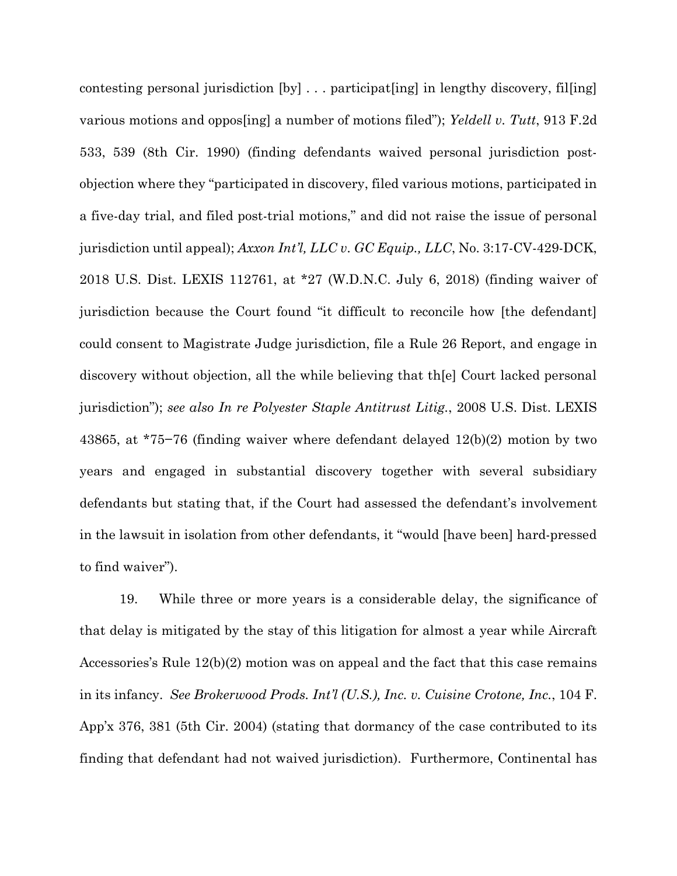contesting personal jurisdiction [by] . . . participat[ing] in lengthy discovery, fil[ing] various motions and oppos[ing] a number of motions filed"); *Yeldell v. Tutt*, 913 F.2d 533, 539 (8th Cir. 1990) (finding defendants waived personal jurisdiction postobjection where they "participated in discovery, filed various motions, participated in a five-day trial, and filed post-trial motions," and did not raise the issue of personal jurisdiction until appeal); *Axxon Int'l, LLC v. GC Equip., LLC*, No. 3:17-CV-429-DCK, 2018 U.S. Dist. LEXIS 112761, at \*27 (W.D.N.C. July 6, 2018) (finding waiver of jurisdiction because the Court found "it difficult to reconcile how [the defendant] could consent to Magistrate Judge jurisdiction, file a Rule 26 Report, and engage in discovery without objection, all the while believing that th[e] Court lacked personal jurisdiction"); *see also In re Polyester Staple Antitrust Litig.*, 2008 U.S. Dist. LEXIS 43865, at \*75−76 (finding waiver where defendant delayed 12(b)(2) motion by two years and engaged in substantial discovery together with several subsidiary defendants but stating that, if the Court had assessed the defendant's involvement in the lawsuit in isolation from other defendants, it "would [have been] hard-pressed to find waiver").

19. While three or more years is a considerable delay, the significance of that delay is mitigated by the stay of this litigation for almost a year while Aircraft Accessories's Rule 12(b)(2) motion was on appeal and the fact that this case remains in its infancy. *See Brokerwood Prods. Int'l (U.S.), Inc. v. Cuisine Crotone, Inc.*, 104 F. App'x 376, 381 (5th Cir. 2004) (stating that dormancy of the case contributed to its finding that defendant had not waived jurisdiction). Furthermore, Continental has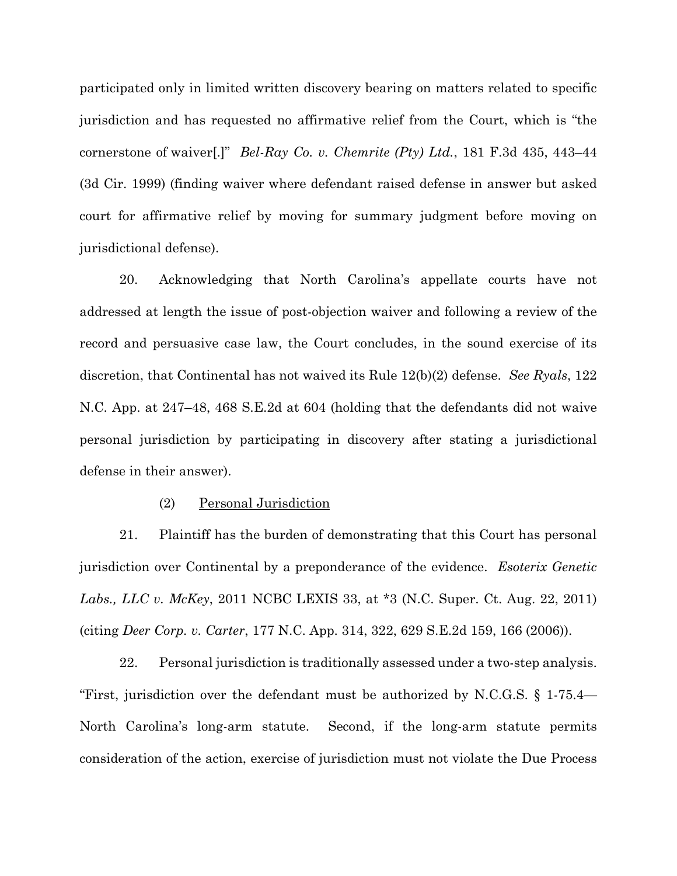participated only in limited written discovery bearing on matters related to specific jurisdiction and has requested no affirmative relief from the Court, which is "the cornerstone of waiver[.]" *Bel-Ray Co. v. Chemrite (Pty) Ltd.*, 181 F.3d 435, 443–44 (3d Cir. 1999) (finding waiver where defendant raised defense in answer but asked court for affirmative relief by moving for summary judgment before moving on jurisdictional defense).

20. Acknowledging that North Carolina's appellate courts have not addressed at length the issue of post-objection waiver and following a review of the record and persuasive case law, the Court concludes, in the sound exercise of its discretion, that Continental has not waived its Rule 12(b)(2) defense. *See Ryals*, 122 N.C. App. at 247–48, 468 S.E.2d at 604 (holding that the defendants did not waive personal jurisdiction by participating in discovery after stating a jurisdictional defense in their answer).

## (2) Personal Jurisdiction

21. Plaintiff has the burden of demonstrating that this Court has personal jurisdiction over Continental by a preponderance of the evidence. *Esoterix Genetic Labs., LLC v. McKey*, 2011 NCBC LEXIS 33, at \*3 (N.C. Super. Ct. Aug. 22, 2011) (citing *Deer Corp. v. Carter*, 177 N.C. App. 314, 322, 629 S.E.2d 159, 166 (2006)).

22. Personal jurisdiction is traditionally assessed under a two-step analysis. "First, jurisdiction over the defendant must be authorized by N.C.G.S. § 1-75.4— North Carolina's long-arm statute. Second, if the long-arm statute permits consideration of the action, exercise of jurisdiction must not violate the Due Process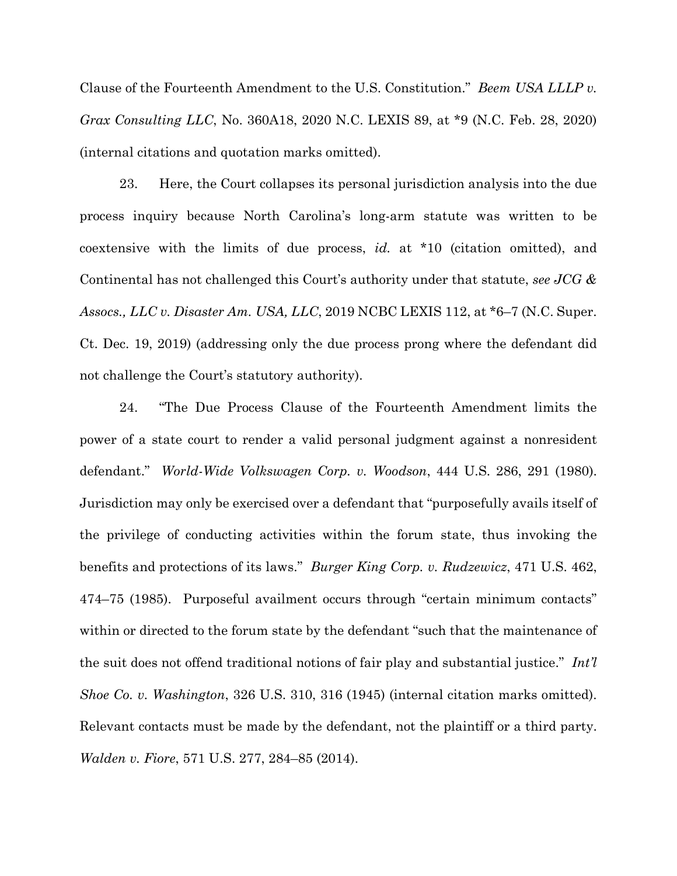Clause of the Fourteenth Amendment to the U.S. Constitution." *Beem USA LLLP v. Grax Consulting LLC*, No. 360A18, 2020 N.C. LEXIS 89, at \*9 (N.C. Feb. 28, 2020) (internal citations and quotation marks omitted).

23. Here, the Court collapses its personal jurisdiction analysis into the due process inquiry because North Carolina's long-arm statute was written to be coextensive with the limits of due process, *id.* at \*10 (citation omitted), and Continental has not challenged this Court's authority under that statute, *see JCG & Assocs., LLC v. Disaster Am. USA, LLC*, 2019 NCBC LEXIS 112, at \*6–7 (N.C. Super. Ct. Dec. 19, 2019) (addressing only the due process prong where the defendant did not challenge the Court's statutory authority).

24. "The Due Process Clause of the Fourteenth Amendment limits the power of a state court to render a valid personal judgment against a nonresident defendant." *World-Wide Volkswagen Corp. v. Woodson*, 444 U.S. 286, 291 (1980). Jurisdiction may only be exercised over a defendant that "purposefully avails itself of the privilege of conducting activities within the forum state, thus invoking the benefits and protections of its laws." *Burger King Corp. v. Rudzewicz*, 471 U.S. 462, 474–75 (1985). Purposeful availment occurs through "certain minimum contacts" within or directed to the forum state by the defendant "such that the maintenance of the suit does not offend traditional notions of fair play and substantial justice." *Int'l Shoe Co. v. Washington*, 326 U.S. 310, 316 (1945) (internal citation marks omitted). Relevant contacts must be made by the defendant, not the plaintiff or a third party. *[Walden](https://advance.lexis.com/document/documentlink/?pdmfid=1000516&crid=e544610e-bb83-4d60-9278-e9601c646105&pddocfullpath=%2Fshared%2Fdocument%2Fcases%2Furn%3AcontentItem%3A5BKT-W6D1-F04K-F26S-00000-00&pdpinpoint=PAGE_284_1100&pdcontentcomponentid=6443&pddoctitle=Walden+v.+Fiore%2C+571+U.S.+277%2C+284-85%2C+134+S.+Ct.+1115%2C+188+L.+Ed.+2d+12+(2014)&pdproductcontenttypeid=urn%3Apct%3A30&pdiskwicview=false&ecomp=1s39k&prid=ce17a626-6897-4bd3-85eb-eb6ee4130d76) v. Fiore*, 571 U.S. 277, 284–85 (2014).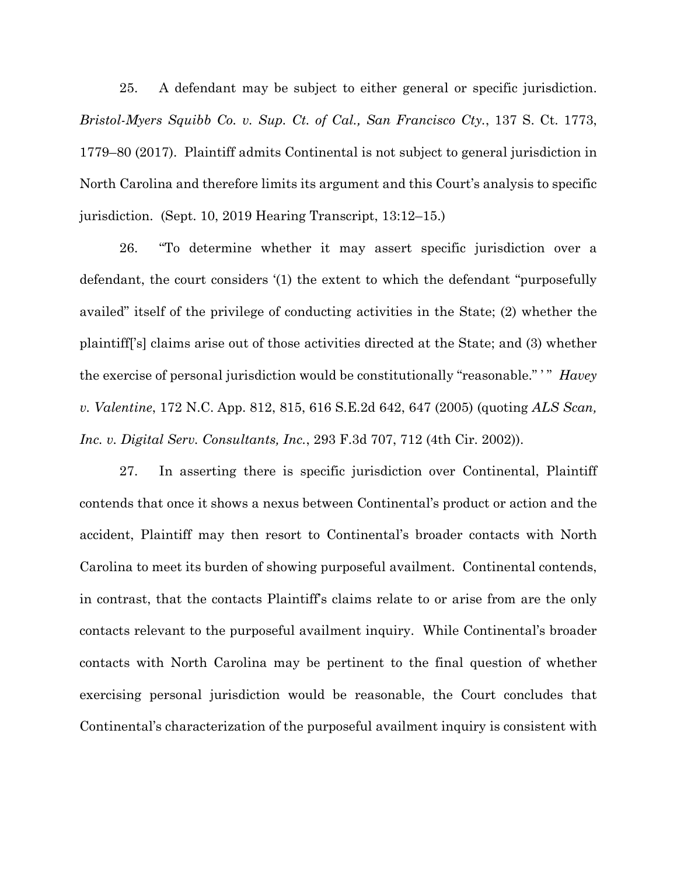25. A defendant may be subject to either general or specific jurisdiction. *Bristol-Myers Squibb Co. v. Sup. Ct. of Cal., San Francisco Cty.*, 137 S. Ct. 1773, 1779–80 (2017). Plaintiff admits Continental is not subject to general jurisdiction in North Carolina and therefore limits its argument and this Court's analysis to specific jurisdiction. (Sept. 10, 2019 Hearing Transcript, 13:12–15.)

26. "To determine whether it may assert specific jurisdiction over a defendant, the court considers '(1) the extent to which the defendant "purposefully availed" itself of the privilege of conducting activities in the State; (2) whether the plaintiff['s] claims arise out of those activities directed at the State; and (3) whether the exercise of personal jurisdiction would be constitutionally "reasonable." ' " *Havey v. Valentine*, 172 N.C. App. 812, 815, 616 S.E.2d 642, 647 (2005) (quoting *ALS Scan, Inc. v. Digital Serv. Consultants, Inc.*, 293 F.3d 707, 712 (4th Cir. 2002)).

27. In asserting there is specific jurisdiction over Continental, Plaintiff contends that once it shows a nexus between Continental's product or action and the accident, Plaintiff may then resort to Continental's broader contacts with North Carolina to meet its burden of showing purposeful availment. Continental contends, in contrast, that the contacts Plaintiff's claims relate to or arise from are the only contacts relevant to the purposeful availment inquiry. While Continental's broader contacts with North Carolina may be pertinent to the final question of whether exercising personal jurisdiction would be reasonable, the Court concludes that Continental's characterization of the purposeful availment inquiry is consistent with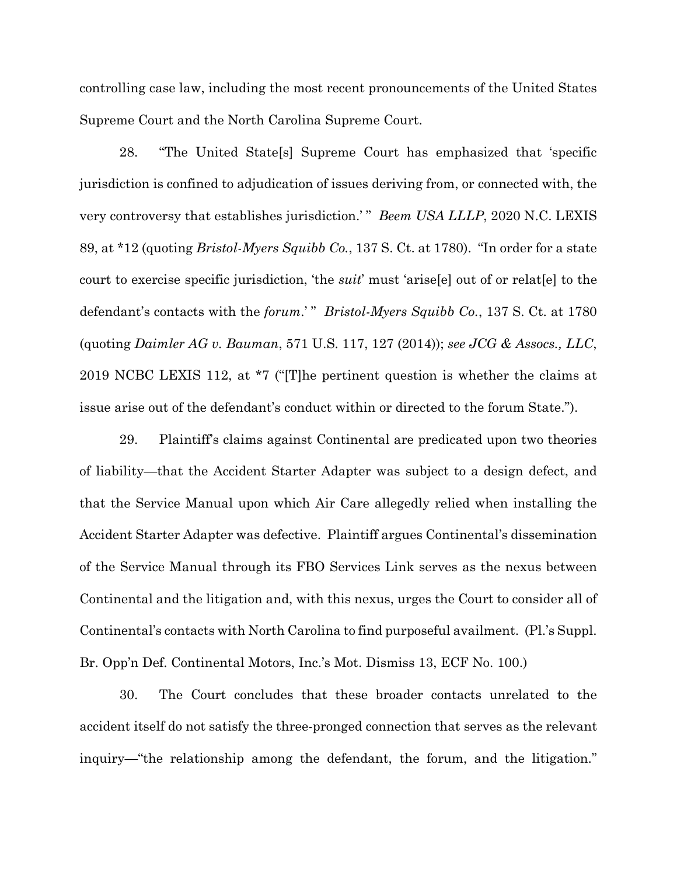controlling case law, including the most recent pronouncements of the United States Supreme Court and the North Carolina Supreme Court.

28. "The United State[s] Supreme Court has emphasized that 'specific jurisdiction is confined to adjudication of issues deriving from, or connected with, the very controversy that establishes jurisdiction.'" *Beem USA LLLP*, 2020 N.C. LEXIS 89, at \*12 (quoting *Bristol-Myers Squibb Co.*, 137 S. Ct. at 1780). "In order for a state court to exercise specific jurisdiction, 'the *suit*' must 'arise[e] out of or relat[e] to the defendant's contacts with the *forum*.'" *Bristol-Myers Squibb Co.*, 137 S. Ct. at 1780 (quoting *Daimler AG v. Bauman*, 571 U.S. 117, 127 (2014)); *see JCG & Assocs., LLC*, 2019 NCBC LEXIS 112, at \*7 ("[T]he pertinent question is whether the claims at issue arise out of the defendant's conduct within or directed to the forum State.").

29. Plaintiff's claims against Continental are predicated upon two theories of liability—that the Accident Starter Adapter was subject to a design defect, and that the Service Manual upon which Air Care allegedly relied when installing the Accident Starter Adapter was defective. Plaintiff argues Continental's dissemination of the Service Manual through its FBO Services Link serves as the nexus between Continental and the litigation and, with this nexus, urges the Court to consider all of Continental's contacts with North Carolina to find purposeful availment. (Pl.'s Suppl. Br. Opp'n Def. Continental Motors, Inc.'s Mot. Dismiss 13, ECF No. 100.)

30. The Court concludes that these broader contacts unrelated to the accident itself do not satisfy the three-pronged connection that serves as the relevant inquiry—"the relationship among the defendant, the forum, and the litigation."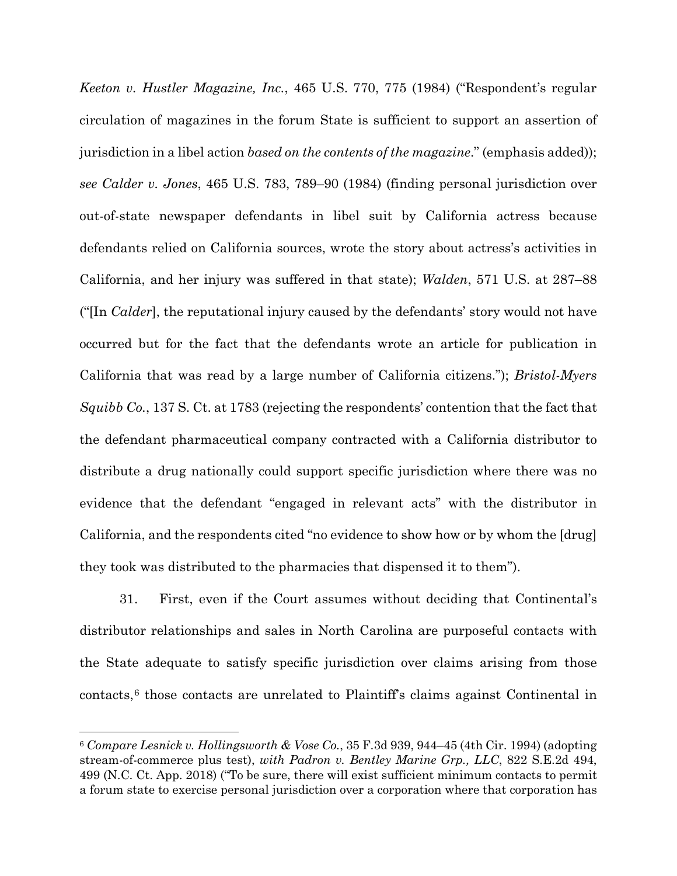*Keeton v. Hustler Magazine, Inc.*, 465 U.S. 770, 775 (1984) ("Respondent's regular circulation of magazines in the forum State is sufficient to support an assertion of jurisdiction in a libel action *based on the contents of the magazine*." (emphasis added)); *see Calder v. Jones*, 465 U.S. 783, 789–90 (1984) (finding personal jurisdiction over out-of-state newspaper defendants in libel suit by California actress because defendants relied on California sources, wrote the story about actress's activities in California, and her injury was suffered in that state); *Walden*, 571 U.S. at 287–88 ("[In *Calder*], the reputational injury caused by the defendants' story would not have occurred but for the fact that the defendants wrote an article for publication in California that was read by a large number of California citizens."); *Bristol-Myers Squibb Co.*, 137 S. Ct. at 1783 (rejecting the respondents' contention that the fact that the defendant pharmaceutical company contracted with a California distributor to distribute a drug nationally could support specific jurisdiction where there was no evidence that the defendant "engaged in relevant acts" with the distributor in California, and the respondents cited "no evidence to show how or by whom the [drug] they took was distributed to the pharmacies that dispensed it to them").

31. First, even if the Court assumes without deciding that Continental's distributor relationships and sales in North Carolina are purposeful contacts with the State adequate to satisfy specific jurisdiction over claims arising from those contacts,[6](#page-18-0) those contacts are unrelated to Plaintiff's claims against Continental in

<span id="page-18-0"></span><sup>6</sup> *Compare Lesnick v. Hollingsworth & Vose Co.*, 35 F.3d 939, 944–45 (4th Cir. 1994) (adopting stream-of-commerce plus test), *with Padron v. Bentley Marine Grp., LLC*, 822 S.E.2d 494, 499 (N.C. Ct. App. 2018) ("To be sure, there will exist sufficient minimum contacts to permit a forum state to exercise personal jurisdiction over a corporation where that corporation has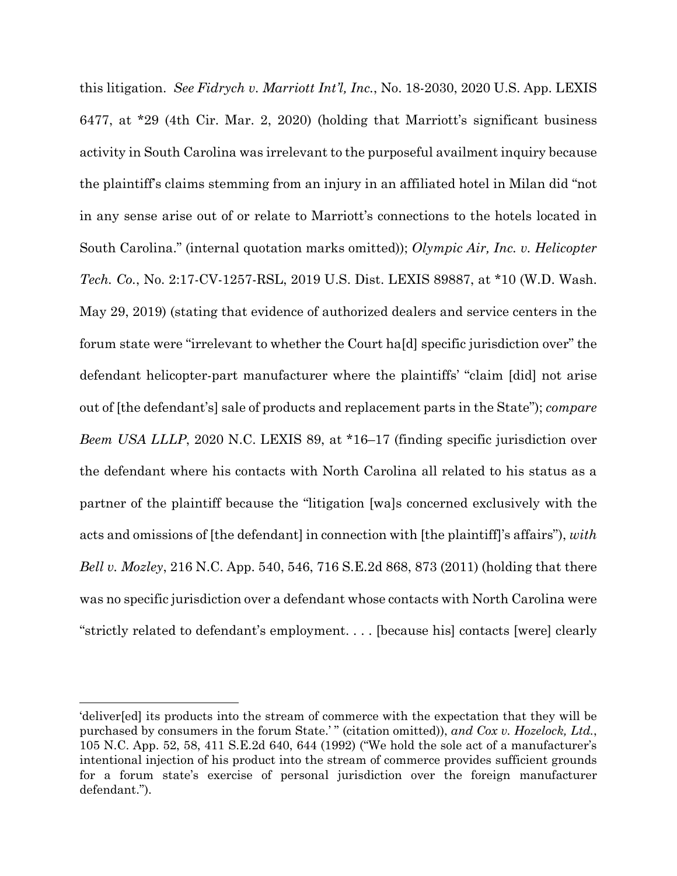this litigation. *See Fidrych v. Marriott Int'l, Inc.*, No. 18-2030, 2020 U.S. App. LEXIS 6477, at \*29 (4th Cir. Mar. 2, 2020) (holding that Marriott's significant business activity in South Carolina was irrelevant to the purposeful availment inquiry because the plaintiff's claims stemming from an injury in an affiliated hotel in Milan did "not in any sense arise out of or relate to Marriott's connections to the hotels located in South Carolina." (internal quotation marks omitted)); *Olympic Air, Inc. v. Helicopter Tech. Co.*, No. 2:17-CV-1257-RSL, 2019 U.S. Dist. LEXIS 89887, at \*10 (W.D. Wash. May 29, 2019) (stating that evidence of authorized dealers and service centers in the forum state were "irrelevant to whether the Court ha[d] specific jurisdiction over" the defendant helicopter-part manufacturer where the plaintiffs' "claim [did] not arise out of [the defendant's] sale of products and replacement parts in the State"); *compare Beem USA LLLP*, 2020 N.C. LEXIS 89, at \*16–17 (finding specific jurisdiction over the defendant where his contacts with North Carolina all related to his status as a partner of the plaintiff because the "litigation [wa]s concerned exclusively with the acts and omissions of [the defendant] in connection with [the plaintiff]'s affairs"), *with Bell v. Mozley*, 216 N.C. App. 540, 546, 716 S.E.2d 868, 873 (2011) (holding that there was no specific jurisdiction over a defendant whose contacts with North Carolina were "strictly related to defendant's employment. . . . [because his] contacts [were] clearly

<sup>&#</sup>x27;deliver[ed] its products into the stream of commerce with the expectation that they will be purchased by consumers in the forum State.' " (citation omitted)), *and Cox v. Hozelock, Ltd.*, 105 N.C. App. 52, 58, 411 S.E.2d 640, 644 (1992) ("We hold the sole act of a manufacturer's intentional injection of his product into the stream of commerce provides sufficient grounds for a forum state's exercise of personal jurisdiction over the foreign manufacturer defendant.").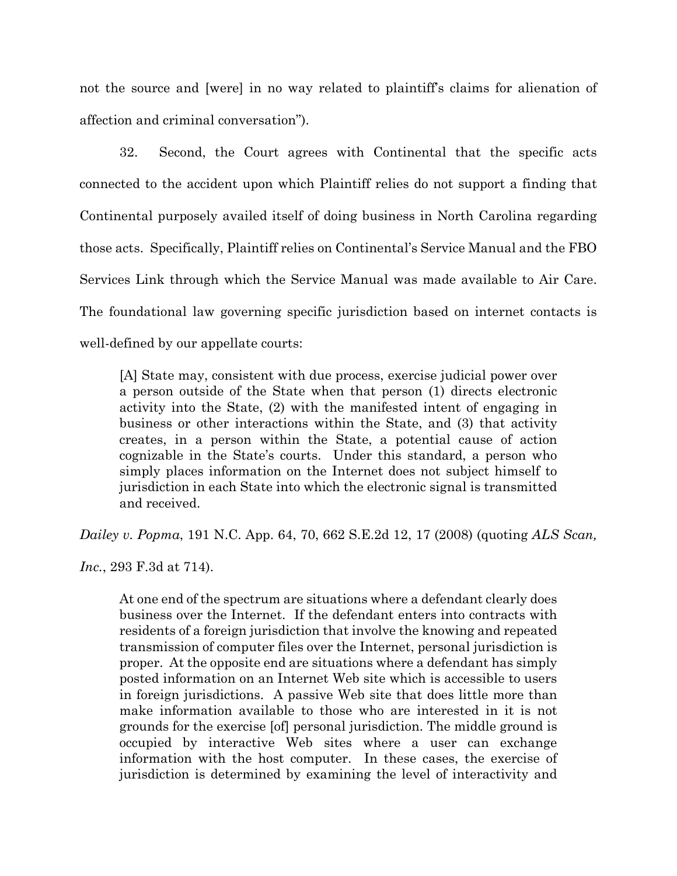not the source and [were] in no way related to plaintiff's claims for alienation of affection and criminal conversation").

32. Second, the Court agrees with Continental that the specific acts connected to the accident upon which Plaintiff relies do not support a finding that Continental purposely availed itself of doing business in North Carolina regarding those acts. Specifically, Plaintiff relies on Continental's Service Manual and the FBO Services Link through which the Service Manual was made available to Air Care. The foundational law governing specific jurisdiction based on internet contacts is well-defined by our appellate courts:

[A] State may, consistent with due process, exercise judicial power over a person outside of the State when that person (1) directs electronic activity into the State, (2) with the manifested intent of engaging in business or other interactions within the State, and (3) that activity creates, in a person within the State, a potential cause of action cognizable in the State's courts. Under this standard, a person who simply places information on the Internet does not subject himself to jurisdiction in each State into which the electronic signal is transmitted and received.

*Dailey v. Popma*, 191 N.C. App. 64, 70, 662 S.E.2d 12, 17 (2008) (quoting *ALS Scan,*

*Inc.*, 293 F.3d at 714).

At one end of the spectrum are situations where a defendant clearly does business over the Internet. If the defendant enters into contracts with residents of a foreign jurisdiction that involve the knowing and repeated transmission of computer files over the Internet, personal jurisdiction is proper. At the opposite end are situations where a defendant has simply posted information on an Internet Web site which is accessible to users in foreign jurisdictions. A passive Web site that does little more than make information available to those who are interested in it is not grounds for the exercise [of] personal jurisdiction. The middle ground is occupied by interactive Web sites where a user can exchange information with the host computer. In these cases, the exercise of jurisdiction is determined by examining the level of interactivity and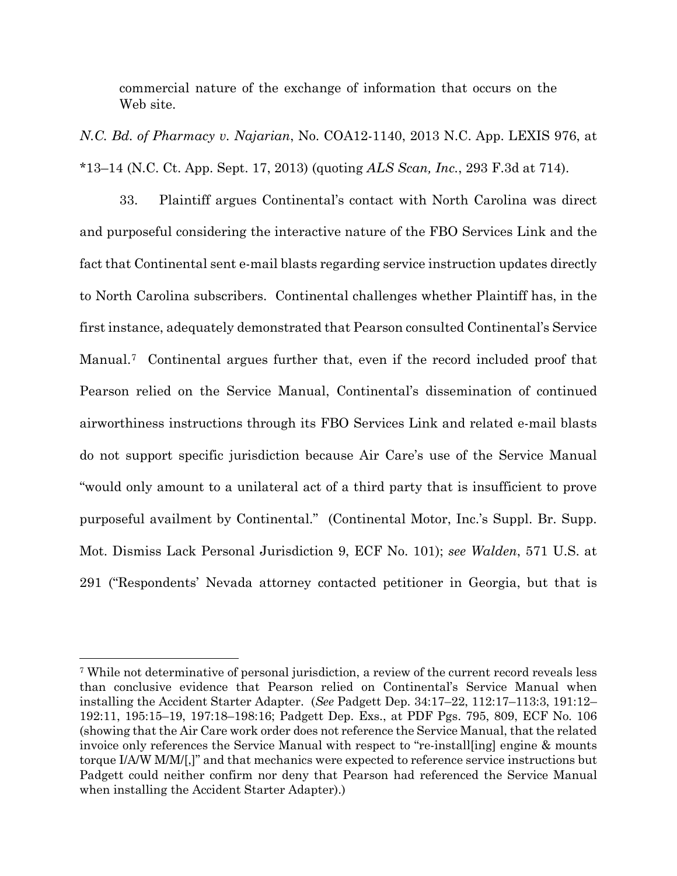commercial nature of the exchange of information that occurs on the Web site.

*N.C. Bd. of Pharmacy v. Najarian*, No. COA12-1140, 2013 N.C. App. LEXIS 976, at \*13–14 (N.C. Ct. App. Sept. 17, 2013) (quoting *ALS Scan, Inc.*, 293 F.3d at 714).

33. Plaintiff argues Continental's contact with North Carolina was direct and purposeful considering the interactive nature of the FBO Services Link and the fact that Continental sent e-mail blasts regarding service instruction updates directly to North Carolina subscribers. Continental challenges whether Plaintiff has, in the first instance, adequately demonstrated that Pearson consulted Continental's Service Manual.[7](#page-21-0) Continental argues further that, even if the record included proof that Pearson relied on the Service Manual, Continental's dissemination of continued airworthiness instructions through its FBO Services Link and related e-mail blasts do not support specific jurisdiction because Air Care's use of the Service Manual "would only amount to a unilateral act of a third party that is insufficient to prove purposeful availment by Continental." (Continental Motor, Inc.'s Suppl. Br. Supp. Mot. Dismiss Lack Personal Jurisdiction 9, ECF No. 101); *see Walden*, 571 U.S. at 291 ("Respondents' Nevada attorney contacted petitioner in Georgia, but that is

<span id="page-21-0"></span><sup>7</sup> While not determinative of personal jurisdiction, a review of the current record reveals less than conclusive evidence that Pearson relied on Continental's Service Manual when installing the Accident Starter Adapter. (*See* Padgett Dep. 34:17–22, 112:17–113:3, 191:12– 192:11, 195:15–19, 197:18–198:16; Padgett Dep. Exs., at PDF Pgs. 795, 809, ECF No. 106 (showing that the Air Care work order does not reference the Service Manual, that the related invoice only references the Service Manual with respect to "re-install[ing] engine & mounts torque I/A/W M/M/[,]" and that mechanics were expected to reference service instructions but Padgett could neither confirm nor deny that Pearson had referenced the Service Manual when installing the Accident Starter Adapter).)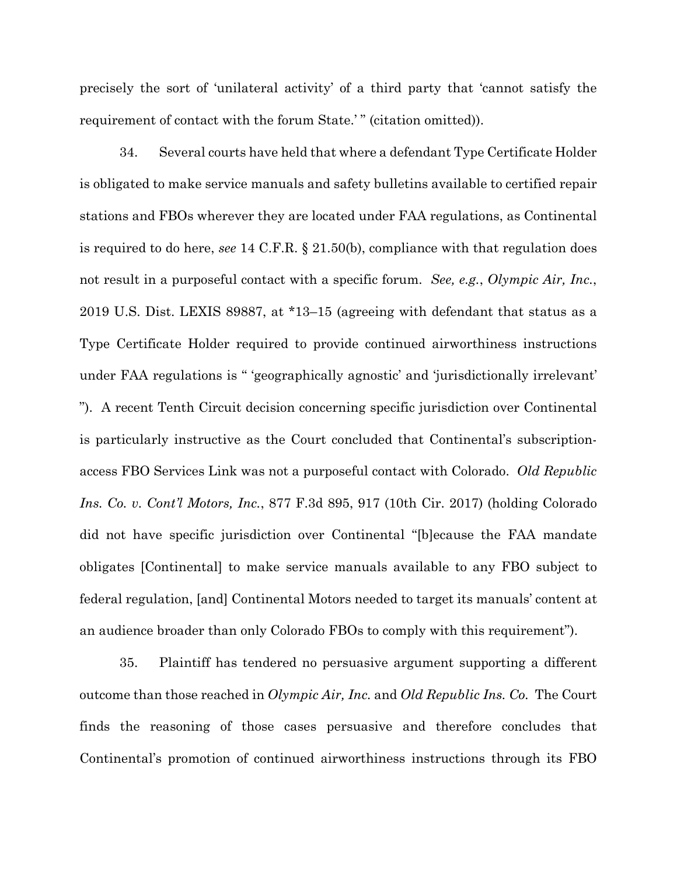precisely the sort of 'unilateral activity' of a third party that 'cannot satisfy the requirement of contact with the forum State.'" (citation omitted)).

34. Several courts have held that where a defendant Type Certificate Holder is obligated to make service manuals and safety bulletins available to certified repair stations and FBOs wherever they are located under FAA regulations, as Continental is required to do here, *see* 14 C.F.R. § 21.50(b), compliance with that regulation does not result in a purposeful contact with a specific forum. *See, e.g.*, *Olympic Air, Inc.*, 2019 U.S. Dist. LEXIS 89887, at \*13–15 (agreeing with defendant that status as a Type Certificate Holder required to provide continued airworthiness instructions under FAA regulations is " 'geographically agnostic' and 'jurisdictionally irrelevant' "). A recent Tenth Circuit decision concerning specific jurisdiction over Continental is particularly instructive as the Court concluded that Continental's subscriptionaccess FBO Services Link was not a purposeful contact with Colorado. *Old Republic Ins. Co. v. Cont'l Motors, Inc.*, 877 F.3d 895, 917 (10th Cir. 2017) (holding Colorado did not have specific jurisdiction over Continental "[b]ecause the FAA mandate obligates [Continental] to make service manuals available to any FBO subject to federal regulation, [and] Continental Motors needed to target its manuals' content at an audience broader than only Colorado FBOs to comply with this requirement").

35. Plaintiff has tendered no persuasive argument supporting a different outcome than those reached in *Olympic Air, Inc.* and *Old Republic Ins. Co.* The Court finds the reasoning of those cases persuasive and therefore concludes that Continental's promotion of continued airworthiness instructions through its FBO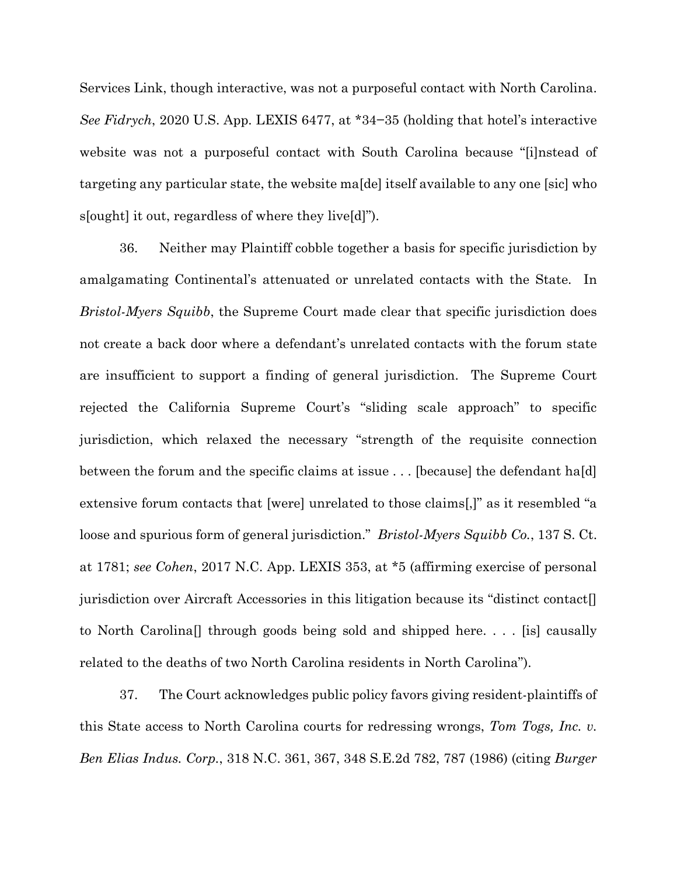Services Link, though interactive, was not a purposeful contact with North Carolina. *See Fidrych*, 2020 U.S. App. LEXIS 6477, at \*34−35 (holding that hotel's interactive website was not a purposeful contact with South Carolina because "[i]nstead of targeting any particular state, the website ma[de] itself available to any one [sic] who s[ought] it out, regardless of where they live[d]").

36. Neither may Plaintiff cobble together a basis for specific jurisdiction by amalgamating Continental's attenuated or unrelated contacts with the State. In *Bristol-Myers Squibb*, the Supreme Court made clear that specific jurisdiction does not create a back door where a defendant's unrelated contacts with the forum state are insufficient to support a finding of general jurisdiction. The Supreme Court rejected the California Supreme Court's "sliding scale approach" to specific jurisdiction, which relaxed the necessary "strength of the requisite connection between the forum and the specific claims at issue . . . [because] the defendant ha[d] extensive forum contacts that [were] unrelated to those claims[,]" as it resembled "a loose and spurious form of general jurisdiction." *Bristol-Myers Squibb Co.*, 137 S. Ct. at 1781; *see Cohen*, 2017 N.C. App. LEXIS 353, at \*5 (affirming exercise of personal jurisdiction over Aircraft Accessories in this litigation because its "distinct contact[] to North Carolina[] through goods being sold and shipped here. . . . [is] causally related to the deaths of two North Carolina residents in North Carolina").

37. The Court acknowledges public policy favors giving resident-plaintiffs of this State access to North Carolina courts for redressing wrongs, *Tom Togs, Inc. v. Ben Elias Indus. Corp.*, 318 N.C. 361, 367, 348 S.E.2d 782, 787 (1986) (citing *Burger*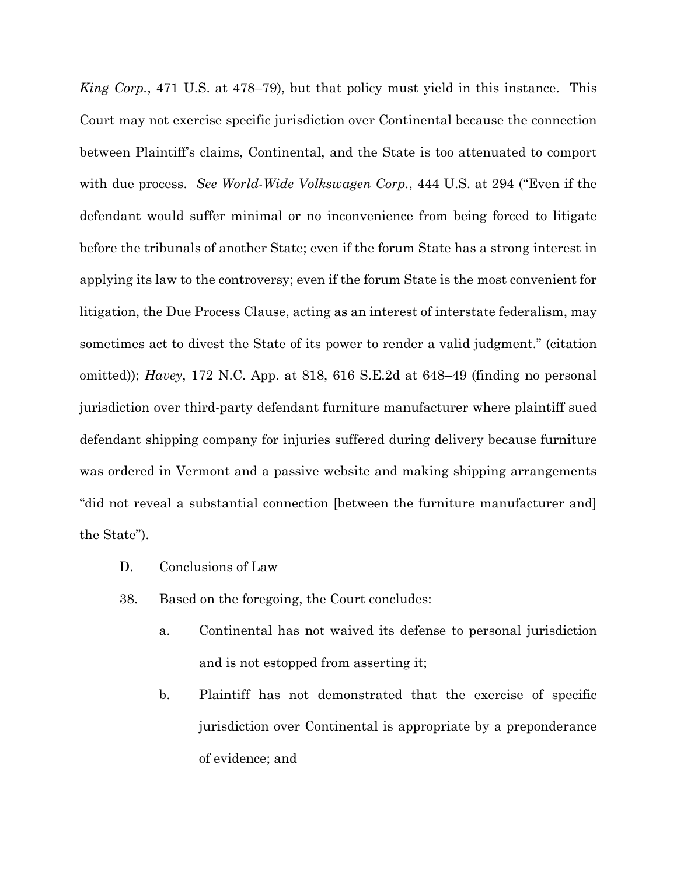*King Corp.*, 471 U.S. at 478–79), but that policy must yield in this instance. This Court may not exercise specific jurisdiction over Continental because the connection between Plaintiff's claims, Continental, and the State is too attenuated to comport with due process. *See World-Wide Volkswagen Corp.*, 444 U.S. at 294 ("Even if the defendant would suffer minimal or no inconvenience from being forced to litigate before the tribunals of another State; even if the forum State has a strong interest in applying its law to the controversy; even if the forum State is the most convenient for litigation, the Due Process Clause, acting as an interest of interstate federalism, may sometimes act to divest the State of its power to render a valid judgment." (citation omitted)); *Havey*, 172 N.C. App. at 818, 616 S.E.2d at 648–49 (finding no personal jurisdiction over third-party defendant furniture manufacturer where plaintiff sued defendant shipping company for injuries suffered during delivery because furniture was ordered in Vermont and a passive website and making shipping arrangements "did not reveal a substantial connection [between the furniture manufacturer and] the State").

- D. Conclusions of Law
- 38. Based on the foregoing, the Court concludes:
	- a. Continental has not waived its defense to personal jurisdiction and is not estopped from asserting it;
	- b. Plaintiff has not demonstrated that the exercise of specific jurisdiction over Continental is appropriate by a preponderance of evidence; and